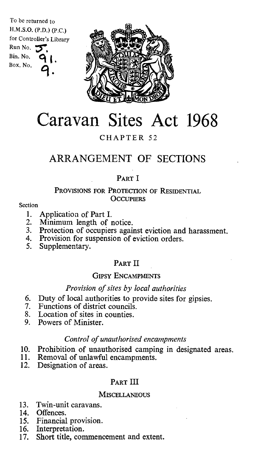To be returned to H.M.S.O. (P.D.) (P.C.) for Controller's Library Run No. Bin. No. Box. No.



# Caravan Sites Act 1968

## CHAPTER 52

## ARRANGEMENT OF SECTIONS

## PART I

#### PROVISIONS FOR PROTECTION OF RESIDENTIAL **OCCUPIERS**

#### Section

- 1. Application of Part I.<br>2. Minimum length of 1
- 2. Minimum length of notice.<br>3. Protection of occupiers agai
- Protection of occupiers against eviction and harassment.
- 4. Provision for suspension of eviction orders.<br>5. Supplementary.
- Supplementary.

## PART II

#### GIPSY ENCAMPMENTS

#### Provision of sites by local authorities

- 6. Duty of local authorities to provide sites for gipsies.
- 7. Functions of district councils.<br>8. Location of sites in counties.
- 8. Location of sites in counties.<br>9. Powers of Minister.
- Powers of Minister.

### Control of unauthorised encampments

- 10. Prohibition of unauthorised camping in designated areas.
- 11. Removal of unlawful encampments.<br>12. Designation of areas.
- Designation of areas.

## PART III

#### **MISCELLANEOUS**

- 13. Twin-unit caravans.
- 14. Offences.
- 15. Financial provision.
- 16. Interpretation.
- 17. Short title, commencement and extent.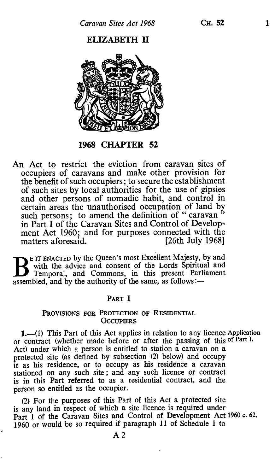## ELIZABETH II



1968 CHAPTER 52

An Act to restrict the eviction from caravan sites of occupiers of caravans and make other provision for the benefit of such occupiers; to secure the establishment of such sites by local authorities for the use of gipsies and other persons of nomadic habit, and control in certain areas the unauthorised occupation of land by such persons; to amend the definition of "caravan" in Part I of the Caravan Sites and Control of Development Act 1960; and for purposes connected with the<br>matters aforesaid. [26th July 1968] matters aforesaid.

E IT ENACTED by the Queen's most Excellent Majesty, by and with the advice and consent of the Lords Spiritual and Temporal, and Commons, in this present Parliament assembled, and by the authority of the same, as follows:—

#### PART I

#### PROVISIONS FOR PROTECTION OF RESIDENTIAL **OCCUPIERS**

1.-(1) This Part of this Act applies in relation to any licence Application or contract (whether made before or after the passing of this of Part I. Act) under which a person is entitled to station a caravan on a protected site (as defined by subsection (2) below) and occupy it as his residence, or to occupy as his residence a caravan stationed on any such site; and any such licence or contract is in this Part referred to as a residential contract, and the person so entitled as the occupier.

(2) For the purposes of this Part of this Act a protected site is any land in respect of which a site licence is required under Part I of the Caravan Sites and Control of Development Act 1960 c. 62. 1960 or would be so required if paragraph 11 of Schedule 1 to

 $A<sub>2</sub>$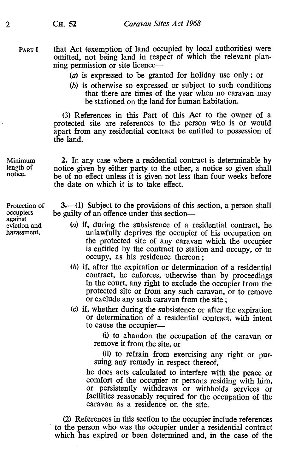PART I that Act (exemption of land occupied by local authorities) were omitted, not being land in respect of which the relevant planning permission or site licence—

(a) is expressed to be granted for holiday use only ; or

(b) is otherwise so expressed or subject to such conditions that there are times of the year when no caravan may be stationed on the land for human habitation.

(3) References in this Part of this Act to the owner of a protected site are references to the person who is or would apart from any residential contract be entitled to possession of the land.

2. In any case where a residential contract is determinable by notice given by either party to the other, a notice so given shall be of no effect unless it is given not less than four weeks before the date on which it is to take effect.

3.—(1) Subject to the provisions of this section, a person shall be guilty of an offence under this section-

- (a) if, during the subsistence of a residential contract, he unlawfully deprives the occupier of his occupation on the protected site of any caravan which the occupier is entitled by the contract to station and occupy, or to occupy, as his residence thereon ;
- (b) if, after the expiration or determination of a residential contract, he enforces, otherwise than by proceedings in the court, any right to exclude the occupier from the protected site or from any such caravan, or to remove or exclude any such caravan from the site ;
- (c) if, whether during the subsistence or after the expiration or determination of a residential contract, with intent to cause the occupier-

(i) to abandon the occupation of the caravan or remove it from the site, or

(ii) to refrain from exercising any right or pursuing any remedy in respect thereof,

he does acts calculated to interfere with the peace or comfort of the occupier or persons residing with him, or persistently withdraws or withholds services or facilities reasonably required for the occupation of the caravan as a residence on the site.

(2) References in this section to the occupier include references to the person who was the occupier under a residential contract which has expired or been determined and, in the case of the

length of notice.

Minimum

Protection of occupiers against eviction and harassment.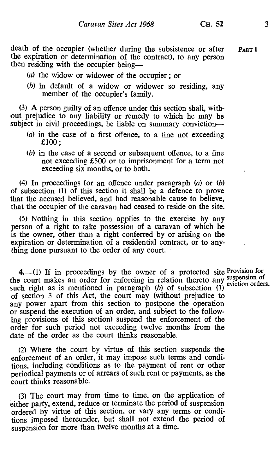death of the occupier (whether during the subsistence or after PART I the expiration or determination of the contract), to any person then residing with the occupier being-

- (a) the widow or widower of the occupier ; or
- (b) in default of a widow or widower so residing, any member of the occupier's family.

(3) A person guilty of an offence under this section shall, without prejudice to any liability or remedy to which he may be subject in civil proceedings, be liable on summary conviction-

- (a) in the case of a first offence, to a fine not exceeding £100 ;
- (b) in the case of a second or subsequent offence, to a fine not exceeding £500 or to imprisonment for a term not exceeding six months, or to both.

(4) In proceedings for an offence under paragraph (a) or (b) of subsection (1) of this section it shall be a defence to prove that the accused believed, and had reasonable cause to believe, that the occupier of the caravan had ceased to reside on the site.

(5) Nothing in this section applies to the exercise by any person of a right to take possession of a caravan of which he is the owner, other than a right conferred by or arising on the expiration or determination of a residential contract, or to anything done pursuant to the order of any court.

4.-(1) If in proceedings by the owner of a protected site Provision for the court makes an order for enforcing in relation thereto any suspension of such right as is mentioned in paragraph  $(b)$  of subsection (1) of section 3 of this Act, the court may (without prejudice to any power apart from this section to postpone the operation or suspend the execution of an order, and subject to the following provisions of this section) suspend the enforcement of the order for such period not exceeding twelve months from the date of the order as the court thinks reasonable.

(2) Where the court by virtue of this section suspends the enforcement of an order, it may impose such terms and conditions, including conditions as to the payment of rent or other periodical payments or of arrears of such rent or payments, as the court thinks reasonable.

(3) The court may from time to time, on the application of either party, extend, reduce or terminate the period of suspension ordered by virtue of this section, or vary any terms or conditions imposed thereunder, but shall not extend the period of suspension for more than twelve months at a time.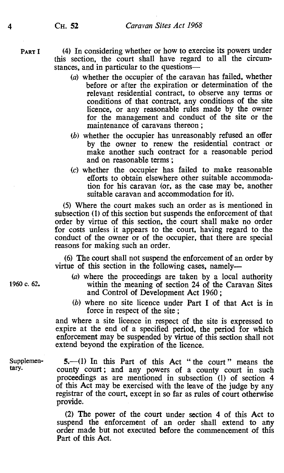PART I (4) In considering whether or how to exercise its powers under this section, the court shall have regard to all the circumstances, and in particular to the questions-

- (a) whether the occupier of the caravan has failed, whether before or after the expiration or determination of the relevant residential contract, to observe any terms or conditions of that contract, any conditions of the site licence, or any reasonable rules made by the owner for the management and conduct of the site or the maintenance of caravans thereon ;
- (b) whether the occupier has unreasonably refused an offer by the owner to renew the residential contract or make another such contract for a reasonable period and on reasonable terms ;
- (c) whether the occupier has failed to make reasonable efforts to obtain elsewhere other suitable accommodation for his caravan (or, as the case may be, another suitable caravan and accommodation for it).

(5) Where the court makes such an order as is mentioned in subsection (1) of this section but suspends the enforcement of that order by virtue of this section, the court shall make no order for costs unless it appears to the court, having regard to the conduct of the owner or of the occupier, that there are special reasons for making such an order.

(6) The court shall not suspend the enforcement of an order by virtue of this section in the following cases, namely-

- (a) where the proceedings are taken by a local authority 1960 c. 62. within the meaning of section 24 of the Caravan Sites and Control of Development Act 1960;
	- (b) where no site licence under Part I of that Act is in force in respect of the site ;

and where a site licence in respect of the site is expressed to expire at the end of a specified period, the period for which enforcement may be suspended by virtue of this section shall not extend beyond the expiration of the licence.

Supplemen-  $5$ ,  $-(1)$  In this Part of this Act "the court" means the tary. county court; and any powers of a county court in such proceedings as are mentioned in subsection (1) of section 4 of this Act may be exercised with the leave of the judge by any registrar of the court, except in so far as rules of court otherwise provide.

> (2) The power of the court under section 4 of this Act to suspend the enforcement of an order shall extend to any order made but not executed before the commencement of this Part of this Act.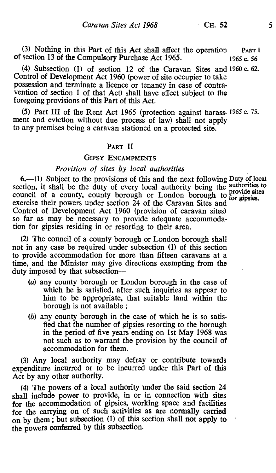(3) Nothing in this Part of this Act shall affect the operation PART I of section 13 of the Compulsory Purchase Act 1965.  $\frac{1}{965}$  c. 56

,(4) Subsection (1) of section 12 of the Caravan Sites and 1960 c. 62. Control of Development Act 1960 (power of site occupier to take possession and terminate a licence or tenancy in case of contravention of section 1 of that Act) shall have effect subject to the foregoing provisions of this Part of this Act.

(5) Part III of the Rent Act 1965 (protection against harass. 1965 c. 75. ment and eviction without due process of law) shall not apply to any premises being a caravan stationed on a protected site.

#### PART II

#### GIPSY ENCAMPMENTS

#### Provision of sites by local authorities

 $6.$ —(1) Subject to the provisions of this and the next following Duty of local section, it shall be the duty of every local authority being the authorities to section, it shart be the duty of every local authority being the provide sites council of a county, county borough or London borough to for gipsies.<br>exercise their powers under section 24 of the Caravan Sites and Control of Development Act 1960 (provision of caravan sites) so far as may be necessary to provide adequate accommodation for gipsies residing in or resorting to their area.

(2) The council of a county borough or London borough shall not in any case be required under subsection (1) of this section to provide accommodation for more than fifteen caravans at a time, and the Minister may give directions exempting from the duty imposed by that subsection-

- (a) any county borough or London borough in the case of which he is satisfied, after such inquiries as appear to him to be appropriate, that suitable land within the borough is not available ;
- (b) any county borough in the case of which he is so satisfied that the number of gipsies resorting to the borough in the period of five years ending on 1st May 1968 was not such as to warrant the provision by the council of accommodation for them.

(3) Any local authority may defray or contribute towards expenditure incurred or to be incurred under this Part of this Act by any other authority.

(4) The powers of a local authority under the said section 24 shall include power to provide, in or in connection with sites for the accommodation of gipsies, working space and facilities for the carrying on of such activities as are normally carried on by them ; but subsection (1) of this section shall not apply to the powers conferred by this subsection.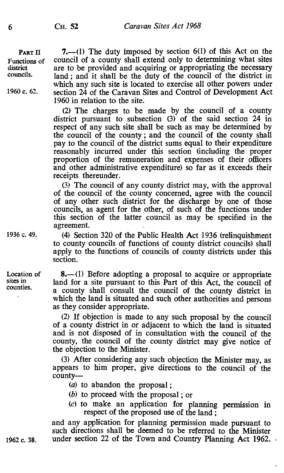6 CH. 52 Caravan Sites Act 1968

**PART II** 7.—(1) The duty imposed by section 6(1) of this Act on the Functions of council of a county shall extend only to determining what sites district are to be provided and acquiring or appropriating the necessary district are to be provided and acquiring or appropriating the necessary<br>councils and a send it shall be the duty of the council of the district in land ; and it shall be the duty of the council of the district in which any such site is located to exercise all other powers under 1960 c. 62. section 24 of the Caravan Sites and Control of Development Act 1960 in relation to the site.

> (2) The charges to be made by the council of a county district pursuant to subsection (3) of the said section 24 in respect of any such site shall be such as may be determined by the council of the county ; and the council of the county shall pay to the council of the district sums equal to their expenditure reasonably incurred under this section (including the proper proportion of the remuneration and expenses of their officers and other administrative expenditure) so far as it exceeds their receipts thereunder.

> (3) The council of any county district may, with the approval of the council of the county concerned, agree with the council of any other such district for the discharge by one of those councils, as agent for the other, of such of the functions under this section of the latter council as may be specified in the agreement.

1936 c. 49. (4) Section 320 of the Public Health Act 1936 (relinquishment to county councils of functions of county district councils) shall apply to the functions of councils of county districts under this section.

> 8.-(1) Before adopting a proposal to acquire or appropriate land for a site pursuant to this Part of this Act, the council of a county shall consult the council of the county district in which the land is situated and such other authorities and persons as they consider appropriate.

> (2) If objection is made to any such proposal by the council of a county district in or adjacent to which the land is situated and is not disposed of in consultation with the council of the county, the council of the county district may give notice of the objection to the Minister.

> (3) After considering any such objection the Minister may, as appears to him proper, give directions to the council of the county-

(a) to abandon the proposal ;

- (b) to proceed with the proposal ; or
- (c) to make an application for planning permission in respect of the proposed use of the land ;

and any application for planning permission made pursuant to such directions shall be deemed to be referred to the Minister 1962 c. 38. under section 22 of the Town and Country Planning Act 1962.

Location of sites in counties.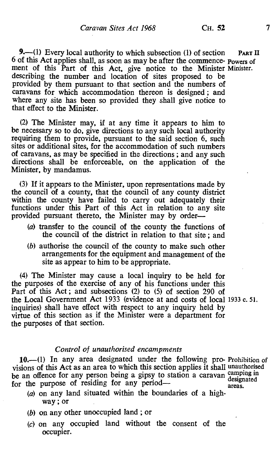**9.**—(1) Every local authority to which subsection (1) of section PART II <sup>6</sup>of this Act applies shall, as soon as may be after the commence- powers of ment of this Part of this Act, give notice to the Minister Minister. describing the number and location of sites proposed to be provided by them pursuant to that section and the numbers of caravans for which accommodation thereon is designed ; and where any site has been so provided they shall give notice to that effect to the Minister.

(2) The Minister may, if at any time it appears to him to be necessary so to do, give directions to any such local authority requiring them to provide, pursuant to the said section 6, such sites or additional sites, for the accommodation of such numbers of caravans, as may be specified in the directions ; and any such directions shall be enforceable, on the application of the Minister, by mandamus.

(3) If it appears to the Minister, upon representations made by the council of a county, that the council of any county district within the county have failed to carry out adequately their functions under this Part of this Act in relation to any site provided pursuant thereto, the Minister may by order-

- (a) transfer to the council of the county the functions of the council of the district in relation to that site ; and
- (b) authorise the council of the county to make such other arrangements for the equipment and management of the site as appear to him to be appropriate.

(4) The Minister may cause a local inquiry to be held for the purposes of the exercise of any of his functions under this Part of this Act ; and subsections (2) to (5) of section 290 of the Local Government Act 1933 (evidence at and costs of local 1933 c. 51. inquiries) shall have effect with respect to any inquiry held by virtue of this section as if the Minister were a department for the purposes of that section.

#### Control of unauthorised encampments

10.--(1) In any area designated under the following pro- Prohibition of visions of this Act as an area to which this section applies it shall unauthorised be an offence for any person being a gipsy to station a caravan designated for the purpose of residing for any period-<br>for the purpose of residing for any period-

- $(a)$  on any land situated within the boundaries of a highway ; or
- (b) on any other unoccupied land ; or
- (c) on any occupied land without the consent of the occupier.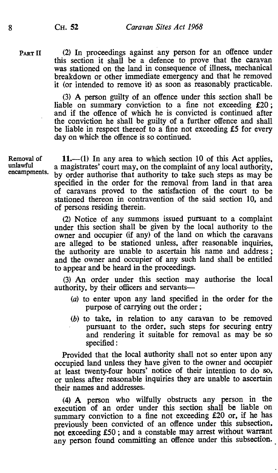PART II (2) In proceedings against any person for an offence under this section it shall be a defence to prove that the caravan was stationed on the land in consequence of illness, mechanical breakdown or other immediate emergency and that he removed it (or intended to remove it) as soon as reasonably practicable.

> (3) A person guilty of an offence under this section shall be liable on summary conviction to a fine not exceeding £20; and if the offence of which he is convicted is continued after the conviction he shall be guilty of a further offence and shall be liable in respect thereof to a fine not exceeding £5 for every day on which the offence is so continued.

Removal of unlawful encampments.

 $11.$ —(1) In any area to which section 10 of this Act applies, a magistrates' court may, on the complaint of any local authority, by order authorise that authority to take such steps as may be specified in the order for the removal from land in that area of caravans proved to the satisfaction of the court to be stationed thereon in contravention of the said section 10, and of persons residing therein.

(2) Notice of any summons issued pursuant to a complaint under this section shall be given by the local authority to the owner and occupier (if any) of the land on which the caravans are alleged to be stationed unless, after reasonable inquiries, the authority are unable to ascertain his name and address ; and the owner and occupier of any such land shall be entitled to appear and be heard in the proceedings.

(3) An order under this section may authorise the local authority, by their officers and servants-

- (a) to enter upon any land specified in the order for the purpose of carrying out the order ;
- (b) to take, in relation to any caravan to be removed pursuant to the order, such steps for securing entry and rendering it suitable for removal as may be so specified :

Provided that the local authority shall not so enter upon any occupied land unless they have given to the owner and occupier at least twenty-four hours' notice of their intention to do so, or unless after reasonable inquiries they are unable to ascertain their names and addresses.

(4) A person who wilfully obstructs any person in the execution of an order under this section shall be liable on summary conviction to a fine not exceeding £20 or, if he has previously been convicted of an offence under this subsection, not exceeding E50; and a constable may arrest without warrant any person found committing an offence under this subsection.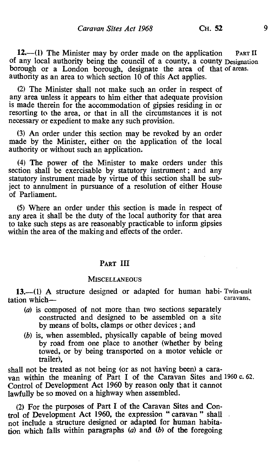12.—(1) The Minister may by order made on the application PART II of any local authority being the council of a county, a county Designation borough or a London borough, designate the area of that of areas.<br>authority as an area to which section 10 of this Act applies.

(2) The Minister shall not make such an order in respect of any area unless it appears to him either that adequate provision is made therein for the accommodation of gipsies residing in or resorting to the area, or that in all the circumstances it is not necessary or expedient to make any such provision.

(3) An order under this section may be revoked by an order made by the Minister, either on the application of the local authority or without such an application.

(4) The power of the Minister to make orders under this section shall be exercisable by statutory instrument ; and any statutory instrument made by virtue of this section shall be subject to annulment in pursuance of a resolution of either House of Parliament.

(5) Where an order under this section is made in respect of any area it shall be the duty of the local authority for that area to take such steps as are reasonably practicable to inform gipsies within the area of the making and effects of the order.

#### PART III

#### **MISCELLANEOUS**

13.—(1) A structure designed or adapted for human habi- Twin-unit<br>caravans. tation which-

- (a) is composed of not more than two sections separately constructed and designed to be assembled on a site by means of bolts, clamps or other devices ; and
- (b) is, when assembled, physically capable of being moved by road from one place to another (whether by being towed, or by being transported on a motor vehicle or trailer),

shall not be treated as not being (or as not having been) a caravan within the meaning of Part I of the Caravan Sites and 1960 c. 62. Control of Development Act 1960 by reason only that it cannot lawfully be so moved on a highway when assembled.

(2) For the purposes of Part I of the Caravan Sites and Control of Development Act 1960, the expression " caravan " shall not include a structure designed or adapted for human habitation which falls within paragraphs  $(a)$  and  $(b)$  of the foregoing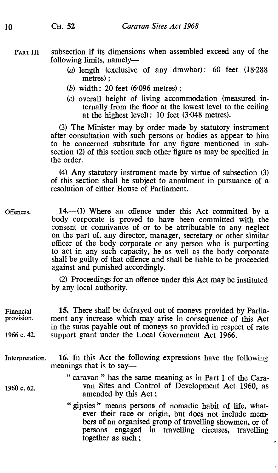#### PART III subsection if its dimensions when assembled exceed any of the following limits, namely-

- (a) length (exclusive of any drawbar): 60 feet  $(18.288)$ metres) ;
- (b) width : 20 feet  $(6.096$  metres) :
- (c) overall height of living accommodation (measured internally from the floor at the lowest level to the ceiling at the highest level) : 10 feet (3.048 metres).

(3) The Minister may by order made by statutory instrument after consultation with such persons or bodies as appear to him to be concerned substitute for any figure mentioned in subsection (2) of this section such other figure as may be specified in the order.

(4) Any statutory instrument made by virtue of subsection (3) of this section shall be subject to annulment in pursuance of a resolution of either House of Parliament.

Offences. 14.--(1) Where an offence under this Act committed by a body corporate is proved to have been committed with the consent or connivance of or to be attributable to any neglect on the part of, any director, manager, secretary or other similar officer of the body corporate or any person who is purporting to act in any such capacity, he as well as the body corporate shall be guilty of that offence and shall be liable to be proceeded against and punished accordingly.

> (2) Proceedings for an offence under this Act may be instituted by any local authority.

Financial 15. There shall be defrayed out of moneys provided by Parlia-<br>provision. ment any increase which may arise in consequence of this Act ment any increase which may arise in consequence of this Act in the sums payable out of moneys so provided in respect of rate 1966 c. 42. support grant under the Local Government Act 1966.

- Interpretation. 16. In this Act the following expressions have the following meanings that is to say—
- " caravan " has the same meaning as in Part I of the Cara-1960 c. 62. van Sites and Control of Development Act 1960, as amended by this Act ;
	- " gipsies " means persons of nomadic habit of life, whatever their race or origin, but does not include members of an organised group of travelling showmen, or of persons engaged in travelling circuses, travelling together as such ;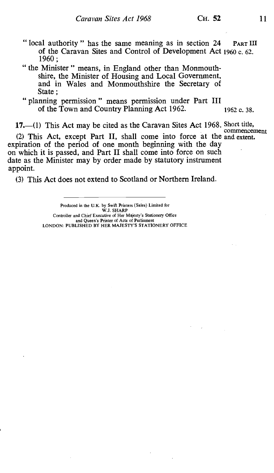- " local authority " has the same meaning as in section 24 PART III of the Caravan Sites and Control of Development Act 1960 c. 62. 1960 ;
- " the Minister " means, in England other than Monmouthshire, the Minister of Housing and Local Government, and in Wales and Monmouthshire the Secretary of State :
- " planning permission" means permission under Part III of the Town and Country Planning Act 1962. 1962 c. 38.

17.—(1) This Act may be cited as the Caravan Sites Act 1968. Short title,

commencement (2) This Act, except Part II, shall come into force at the and extent. expiration of the period of one month beginning with the day on which it is passed, and Part II shall come into force on such date as the Minister may by order made by statutory instrument appoint.

(3) This Act does not extend to Scotland or Northern Ireland.

Produced in the U.K. by Swift Printers (Sales) Limited for Controller and Chief Executive of Her Majesty's Stationery Office and Queen's Printer of Acts of Parliament LONDON: PUBLISHED BY HER MAJESTY'S STATIONERY OFFICE